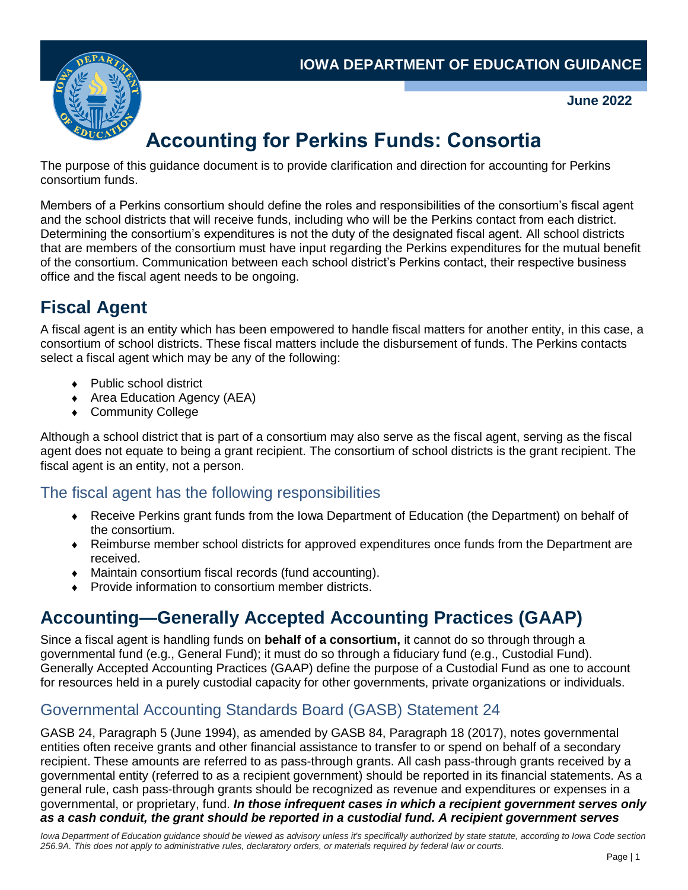

**June 2022**

# **Accounting for Perkins Funds: Consortia**

The purpose of this guidance document is to provide clarification and direction for accounting for Perkins consortium funds.

Members of a Perkins consortium should define the roles and responsibilities of the consortium's fiscal agent and the school districts that will receive funds, including who will be the Perkins contact from each district. Determining the consortium's expenditures is not the duty of the designated fiscal agent. All school districts that are members of the consortium must have input regarding the Perkins expenditures for the mutual benefit of the consortium. Communication between each school district's Perkins contact, their respective business office and the fiscal agent needs to be ongoing.

## **Fiscal Agent**

A fiscal agent is an entity which has been empowered to handle fiscal matters for another entity, in this case, a consortium of school districts. These fiscal matters include the disbursement of funds. The Perkins contacts select a fiscal agent which may be any of the following:

- ◆ Public school district
- ◆ Area Education Agency (AEA)
- ◆ Community College

Although a school district that is part of a consortium may also serve as the fiscal agent, serving as the fiscal agent does not equate to being a grant recipient. The consortium of school districts is the grant recipient. The fiscal agent is an entity, not a person.

### The fiscal agent has the following responsibilities

- Receive Perkins grant funds from the Iowa Department of Education (the Department) on behalf of the consortium.
- Reimburse member school districts for approved expenditures once funds from the Department are received.
- Maintain consortium fiscal records (fund accounting).
- Provide information to consortium member districts.

## **Accounting—Generally Accepted Accounting Practices (GAAP)**

Since a fiscal agent is handling funds on **behalf of a consortium,** it cannot do so through through a governmental fund (e.g., General Fund); it must do so through a fiduciary fund (e.g., Custodial Fund). Generally Accepted Accounting Practices (GAAP) define the purpose of a Custodial Fund as one to account for resources held in a purely custodial capacity for other governments, private organizations or individuals.

### Governmental Accounting Standards Board (GASB) Statement 24

GASB 24, Paragraph 5 (June 1994), as amended by GASB 84, Paragraph 18 (2017), notes governmental entities often receive grants and other financial assistance to transfer to or spend on behalf of a secondary recipient. These amounts are referred to as pass-through grants. All cash pass-through grants received by a governmental entity (referred to as a recipient government) should be reported in its financial statements. As a general rule, cash pass-through grants should be recognized as revenue and expenditures or expenses in a governmental, or proprietary, fund. *In those infrequent cases in which a recipient government serves only as a cash conduit, the grant should be reported in a custodial fund. A recipient government serves*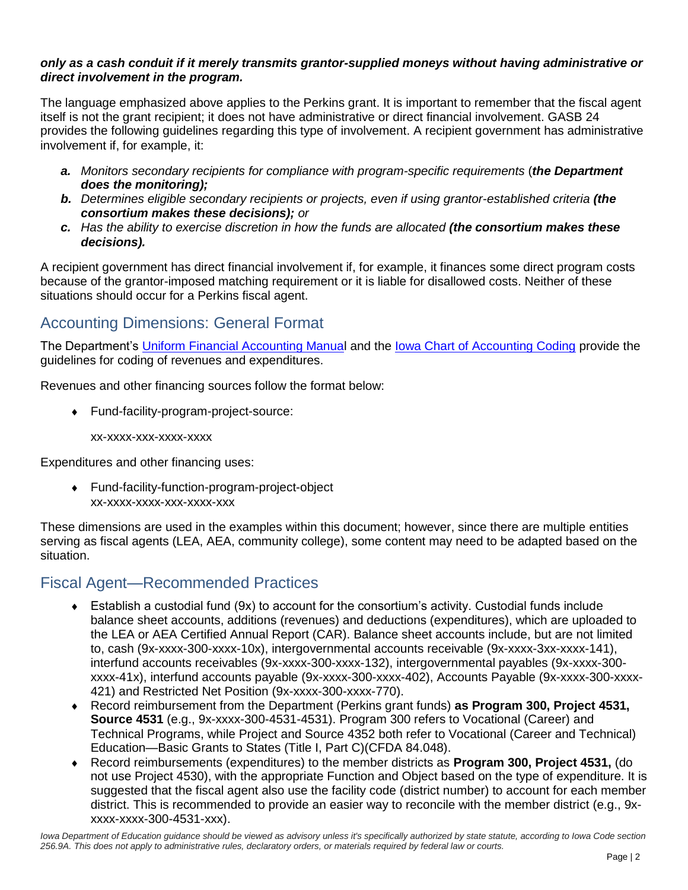#### *only as a cash conduit if it merely transmits grantor-supplied moneys without having administrative or direct involvement in the program.*

The language emphasized above applies to the Perkins grant. It is important to remember that the fiscal agent itself is not the grant recipient; it does not have administrative or direct financial involvement. GASB 24 provides the following guidelines regarding this type of involvement. A recipient government has administrative involvement if, for example, it:

- *a. Monitors secondary recipients for compliance with program-specific requirements* (*the Department does the monitoring);*
- *b. Determines eligible secondary recipients or projects, even if using grantor-established criteria (the consortium makes these decisions); or*
- *c. Has the ability to exercise discretion in how the funds are allocated (the consortium makes these decisions).*

A recipient government has direct financial involvement if, for example, it finances some direct program costs because of the grantor-imposed matching requirement or it is liable for disallowed costs. Neither of these situations should occur for a Perkins fiscal agent.

#### Accounting Dimensions: General Format

The Department's [Uniform Financial Accounting Manual](mailto:https://educateiowa.gov/documents/uniform-financial-accounting/2013/04/uniform-financial-accounting-manual-version-2009) and the lowa Chart of Accounting Coding provide the guidelines for coding of revenues and expenditures.

Revenues and other financing sources follow the format below:

Fund-facility-program-project-source:

xx-xxxx-xxx-xxxx-xxxx

Expenditures and other financing uses:

 Fund-facility-function-program-project-object xx-xxxx-xxxx-xxx-xxxx-xxx

These dimensions are used in the examples within this document; however, since there are multiple entities serving as fiscal agents (LEA, AEA, community college), some content may need to be adapted based on the situation.

### Fiscal Agent—Recommended Practices

- Establish a custodial fund (9x) to account for the consortium's activity. Custodial funds include balance sheet accounts, additions (revenues) and deductions (expenditures), which are uploaded to the LEA or AEA Certified Annual Report (CAR). Balance sheet accounts include, but are not limited to, cash (9x-xxxx-300-xxxx-10x), intergovernmental accounts receivable (9x-xxxx-3xx-xxxx-141), interfund accounts receivables (9x-xxxx-300-xxxx-132), intergovernmental payables (9x-xxxx-300 xxxx-41x), interfund accounts payable (9x-xxxx-300-xxxx-402), Accounts Payable (9x-xxxx-300-xxxx-421) and Restricted Net Position (9x-xxxx-300-xxxx-770).
- Record reimbursement from the Department (Perkins grant funds) **as Program 300, Project 4531, Source 4531** (e.g., 9x-xxxx-300-4531-4531). Program 300 refers to Vocational (Career) and Technical Programs, while Project and Source 4352 both refer to Vocational (Career and Technical) Education—Basic Grants to States (Title I, Part C)(CFDA 84.048).
- Record reimbursements (expenditures) to the member districts as **Program 300, Project 4531,** (do not use Project 4530), with the appropriate Function and Object based on the type of expenditure. It is suggested that the fiscal agent also use the facility code (district number) to account for each member district. This is recommended to provide an easier way to reconcile with the member district (e.g., 9xxxxx-xxxx-300-4531-xxx).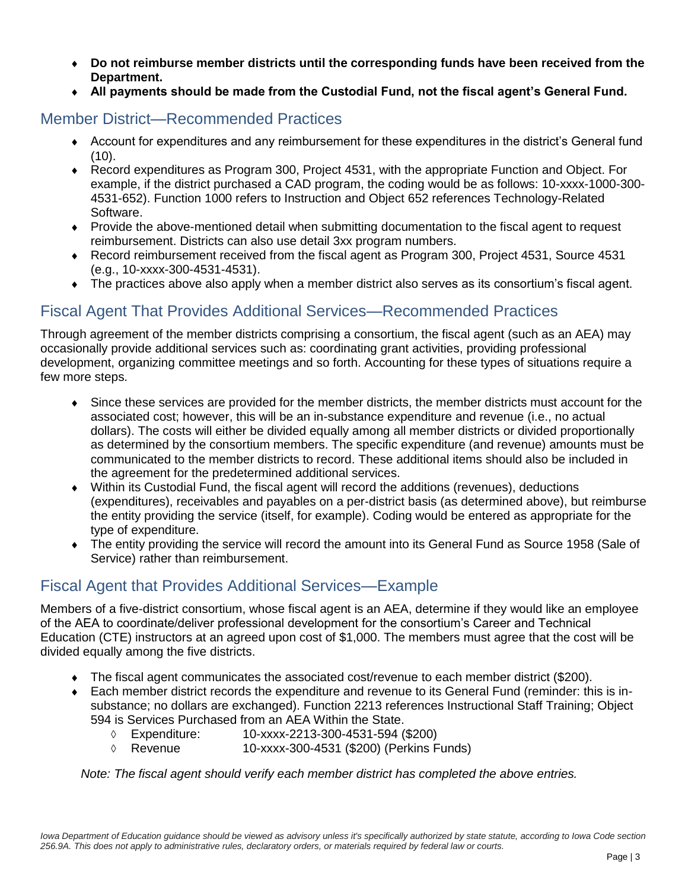- **Do not reimburse member districts until the corresponding funds have been received from the Department.**
- **All payments should be made from the Custodial Fund, not the fiscal agent's General Fund.**

#### Member District—Recommended Practices

- Account for expenditures and any reimbursement for these expenditures in the district's General fund  $(10)$ .
- Record expenditures as Program 300, Project 4531, with the appropriate Function and Object. For example, if the district purchased a CAD program, the coding would be as follows: 10-xxxx-1000-300- 4531-652). Function 1000 refers to Instruction and Object 652 references Technology-Related Software.
- Provide the above-mentioned detail when submitting documentation to the fiscal agent to request reimbursement. Districts can also use detail 3xx program numbers.
- Record reimbursement received from the fiscal agent as Program 300, Project 4531, Source 4531 (e.g., 10-xxxx-300-4531-4531).
- The practices above also apply when a member district also serves as its consortium's fiscal agent.

#### Fiscal Agent That Provides Additional Services—Recommended Practices

Through agreement of the member districts comprising a consortium, the fiscal agent (such as an AEA) may occasionally provide additional services such as: coordinating grant activities, providing professional development, organizing committee meetings and so forth. Accounting for these types of situations require a few more steps.

- Since these services are provided for the member districts, the member districts must account for the associated cost; however, this will be an in-substance expenditure and revenue (i.e., no actual dollars). The costs will either be divided equally among all member districts or divided proportionally as determined by the consortium members. The specific expenditure (and revenue) amounts must be communicated to the member districts to record. These additional items should also be included in the agreement for the predetermined additional services.
- Within its Custodial Fund, the fiscal agent will record the additions (revenues), deductions (expenditures), receivables and payables on a per-district basis (as determined above), but reimburse the entity providing the service (itself, for example). Coding would be entered as appropriate for the type of expenditure.
- The entity providing the service will record the amount into its General Fund as Source 1958 (Sale of Service) rather than reimbursement.

#### Fiscal Agent that Provides Additional Services—Example

Members of a five-district consortium, whose fiscal agent is an AEA, determine if they would like an employee of the AEA to coordinate/deliver professional development for the consortium's Career and Technical Education (CTE) instructors at an agreed upon cost of \$1,000. The members must agree that the cost will be divided equally among the five districts.

- The fiscal agent communicates the associated cost/revenue to each member district (\$200).
- Each member district records the expenditure and revenue to its General Fund (reminder: this is insubstance; no dollars are exchanged). Function 2213 references Instructional Staff Training; Object 594 is Services Purchased from an AEA Within the State.
	- Expenditure: 10-xxxx-2213-300-4531-594 (\$200)
	- Revenue 10-xxxx-300-4531 (\$200) (Perkins Funds)

*Note: The fiscal agent should verify each member district has completed the above entries.*